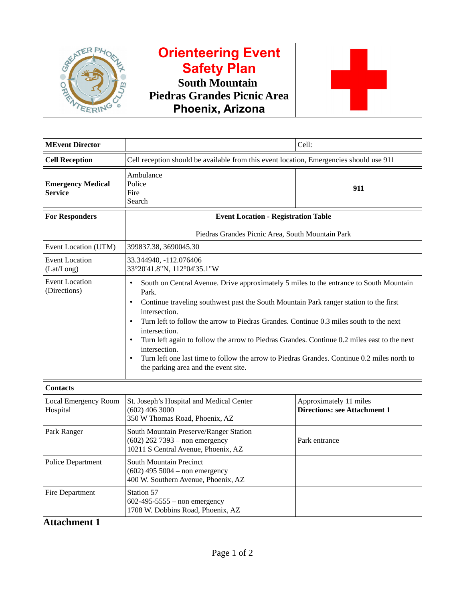

# **Orienteering Event Safety Plan South Mountain Piedras Grandes Picnic Area Phoenix, Arizona**



| <b>MEvent Director</b>                     |                                                                                                                                                                                                                                                                                                                                                                                                                                                                                                                                                                                                                                 | Cell:                                                         |  |  |
|--------------------------------------------|---------------------------------------------------------------------------------------------------------------------------------------------------------------------------------------------------------------------------------------------------------------------------------------------------------------------------------------------------------------------------------------------------------------------------------------------------------------------------------------------------------------------------------------------------------------------------------------------------------------------------------|---------------------------------------------------------------|--|--|
| <b>Cell Reception</b>                      | Cell reception should be available from this event location, Emergencies should use 911                                                                                                                                                                                                                                                                                                                                                                                                                                                                                                                                         |                                                               |  |  |
| <b>Emergency Medical</b><br><b>Service</b> | Ambulance<br>Police<br>Fire<br>Search                                                                                                                                                                                                                                                                                                                                                                                                                                                                                                                                                                                           | 911                                                           |  |  |
| <b>For Responders</b>                      | <b>Event Location - Registration Table</b>                                                                                                                                                                                                                                                                                                                                                                                                                                                                                                                                                                                      |                                                               |  |  |
|                                            | Piedras Grandes Picnic Area, South Mountain Park                                                                                                                                                                                                                                                                                                                                                                                                                                                                                                                                                                                |                                                               |  |  |
| Event Location (UTM)                       | 399837.38, 3690045.30                                                                                                                                                                                                                                                                                                                                                                                                                                                                                                                                                                                                           |                                                               |  |  |
| <b>Event Location</b><br>(Lat/Long)        | 33.344940, -112.076406<br>33°20'41.8"N, 112°04'35.1"W                                                                                                                                                                                                                                                                                                                                                                                                                                                                                                                                                                           |                                                               |  |  |
| <b>Event Location</b><br>(Directions)      | South on Central Avenue. Drive approximately 5 miles to the entrance to South Mountain<br>$\bullet$<br>Park.<br>Continue traveling southwest past the South Mountain Park ranger station to the first<br>$\bullet$<br>intersection.<br>Turn left to follow the arrow to Piedras Grandes. Continue 0.3 miles south to the next<br>$\bullet$<br>intersection.<br>Turn left again to follow the arrow to Piedras Grandes. Continue 0.2 miles east to the next<br>intersection.<br>Turn left one last time to follow the arrow to Piedras Grandes. Continue 0.2 miles north to<br>$\bullet$<br>the parking area and the event site. |                                                               |  |  |
| <b>Contacts</b>                            |                                                                                                                                                                                                                                                                                                                                                                                                                                                                                                                                                                                                                                 |                                                               |  |  |
| <b>Local Emergency Room</b><br>Hospital    | St. Joseph's Hospital and Medical Center<br>$(602)$ 406 3000<br>350 W Thomas Road, Phoenix, AZ                                                                                                                                                                                                                                                                                                                                                                                                                                                                                                                                  | Approximately 11 miles<br><b>Directions: see Attachment 1</b> |  |  |
| Park Ranger                                | South Mountain Preserve/Ranger Station<br>$(602)$ 262 7393 - non emergency<br>10211 S Central Avenue, Phoenix, AZ                                                                                                                                                                                                                                                                                                                                                                                                                                                                                                               | Park entrance                                                 |  |  |
| <b>Police Department</b>                   | South Mountain Precinct<br>$(602)$ 495 5004 – non emergency<br>400 W. Southern Avenue, Phoenix, AZ                                                                                                                                                                                                                                                                                                                                                                                                                                                                                                                              |                                                               |  |  |
| <b>Fire Department</b>                     | <b>Station 57</b><br>$602 - 495 - 5555 -$ non emergency<br>1708 W. Dobbins Road, Phoenix, AZ                                                                                                                                                                                                                                                                                                                                                                                                                                                                                                                                    |                                                               |  |  |

## **Attachment 1**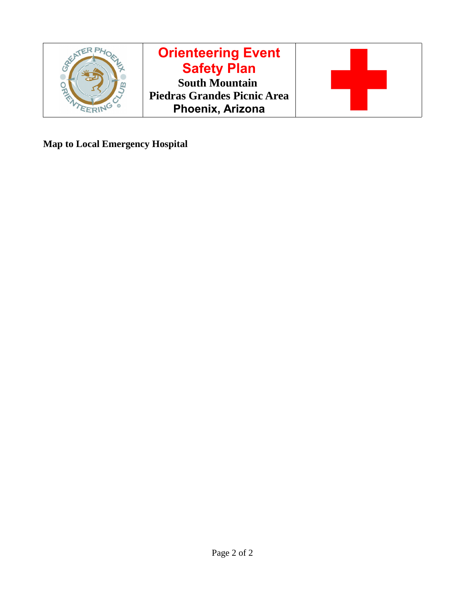

**Map to Local Emergency Hospital**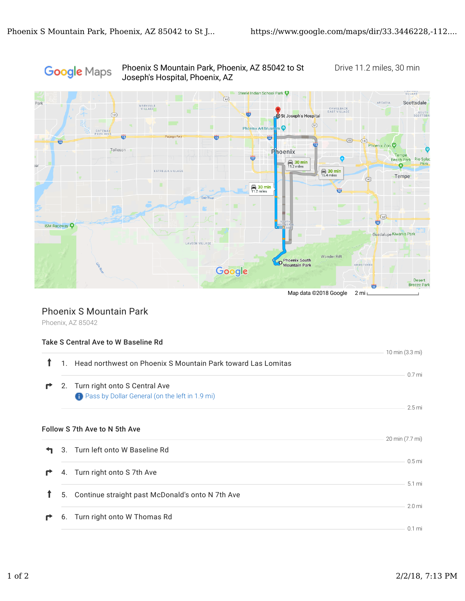

Phoenix S Mountain Park, Phoenix, AZ 85042 to St Drive 11.2 miles, 30 min

### Phoenix S Mountain Park

Phoenix, AZ 85042

#### Take S Central Ave to W Baseline Rd

|   |              |                                                              | 10 min (3.3 mi)   |
|---|--------------|--------------------------------------------------------------|-------------------|
|   | $\mathbf{1}$ | Head northwest on Phoenix S Mountain Park toward Las Lomitas |                   |
|   |              |                                                              | 0.7 mi            |
| r |              | 2. Turn right onto S Central Ave                             |                   |
|   |              | <b>C</b> Pass by Dollar General (on the left in 1.9 mi)      |                   |
|   |              |                                                              | 2.5 mi            |
|   |              |                                                              |                   |
|   |              |                                                              |                   |
|   |              | Follow S 7th Ave to N 5th Ave                                |                   |
|   |              |                                                              | 20 min (7.7 mi)   |
|   |              | 3. Turn left onto W Baseline Rd                              |                   |
|   |              |                                                              |                   |
|   |              |                                                              | 0.5 <sub>mi</sub> |
|   |              | 4. Turn right onto S 7th Ave                                 |                   |
|   |              |                                                              | 5.1 mi            |
|   | 5.           | Continue straight past McDonald's onto N 7th Ave             |                   |
|   |              |                                                              |                   |
|   |              |                                                              | 2.0 <sub>mi</sub> |
|   |              | 6. Turn right onto W Thomas Rd                               |                   |
|   |              |                                                              | $0.1$ mi          |
|   |              |                                                              |                   |